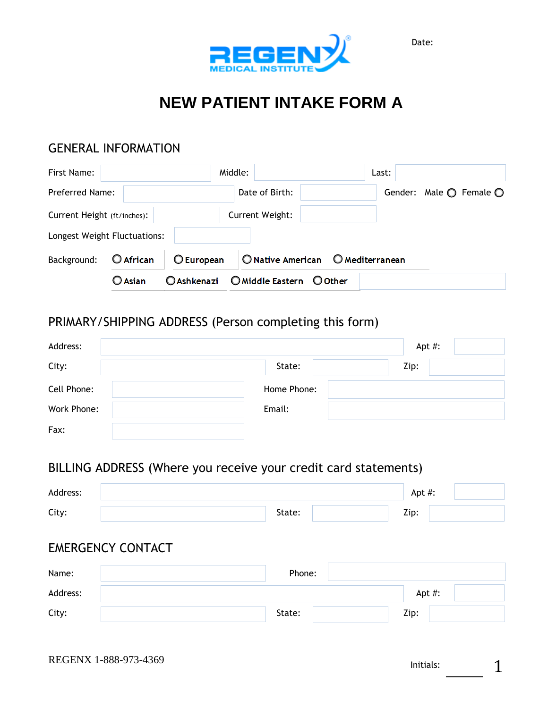Date:



# **NEW PATIENT INTAKE FORM A**

### GENERAL INFORMATION

| First Name:                  |                  |                    | Middle:                  | Last:                  |                                           |
|------------------------------|------------------|--------------------|--------------------------|------------------------|-------------------------------------------|
| Preferred Name:              |                  |                    | Date of Birth:           |                        | Gender: Male $\bigcirc$ Female $\bigcirc$ |
| Current Height (ft/inches):  |                  |                    | Current Weight:          |                        |                                           |
| Longest Weight Fluctuations: |                  |                    |                          |                        |                                           |
| Background:                  | O African        | <b>O</b> European  | O Native American        | <b>O</b> Mediterranean |                                           |
|                              | $\bigcirc$ Asian | <b>O</b> Ashkenazi | O Middle Eastern O Other |                        |                                           |

## PRIMARY/SHIPPING ADDRESS (Person completing this form)

| Address:    |             | Apt #: |
|-------------|-------------|--------|
| City:       | State:      | Zip:   |
| Cell Phone: | Home Phone: |        |
| Work Phone: | Email:      |        |
| Fax:        |             |        |

## BILLING ADDRESS (Where you receive your credit card statements)

| Address:                 |        | Apt #: |
|--------------------------|--------|--------|
| City:                    | State: | Zip:   |
| <b>EMERGENCY CONTACT</b> |        |        |
| Name:                    | Phone: |        |
| Address:                 |        | Apt #: |
| City:                    | State: | Zip:   |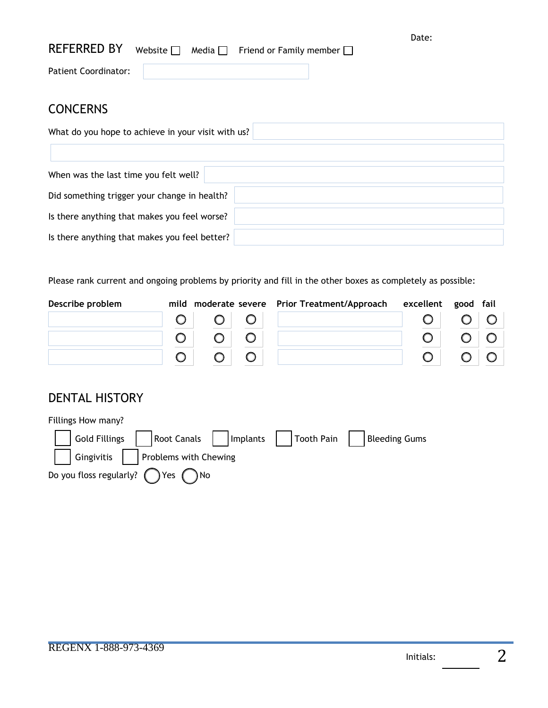| REFERRED BY Website $\Box$ Media $\Box$ Friend or Family member $\Box$ |  |  | Date: |
|------------------------------------------------------------------------|--|--|-------|
| Patient Coordinator:                                                   |  |  |       |

## **CONCERNS**

| What do you hope to achieve in your visit with us? |  |  |  |  |  |  |  |
|----------------------------------------------------|--|--|--|--|--|--|--|
|                                                    |  |  |  |  |  |  |  |
| When was the last time you felt well?              |  |  |  |  |  |  |  |
| Did something trigger your change in health?       |  |  |  |  |  |  |  |
| Is there anything that makes you feel worse?       |  |  |  |  |  |  |  |
| Is there anything that makes you feel better?      |  |  |  |  |  |  |  |

Please rank current and ongoing problems by priority and fill in the other boxes as completely as possible:

| Describe problem |                         | mild moderate severe Prior Treatment/Approach | excellent good fail |             |  |
|------------------|-------------------------|-----------------------------------------------|---------------------|-------------|--|
|                  | $\circ$ $\circ$ $\circ$ |                                               |                     | $O$ $O$ $O$ |  |
|                  | $O$ $O$ $O$             |                                               |                     | $O$ $O$ $O$ |  |
|                  | $O$ $O$ $O$             |                                               |                     | $O$ $O$ $O$ |  |

## DENTAL HISTORY

| Fillings How many? |                                                                             |  |
|--------------------|-----------------------------------------------------------------------------|--|
|                    | Gold Fillings     Root Canals     Implants     Tooth Pain     Bleeding Gums |  |
|                    | Gingivitis     Problems with Chewing                                        |  |
|                    | Do you floss regularly? $\bigcap$ Yes $\bigcap$ No                          |  |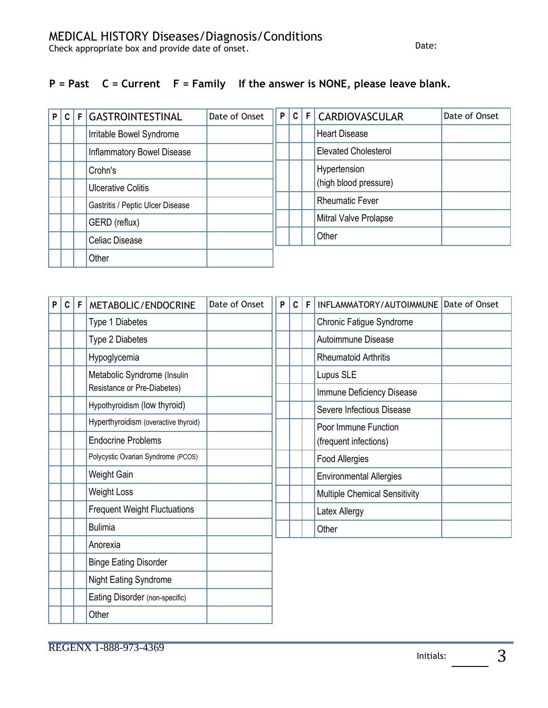#### **P = Past C = Current F = Family If the answer is NONE, please leave blank.**

| P | C. | F GASTROINTESTINAL               | Date of Onset | P |  | C   F   CARDIOVASCULAR      | Date of Onset |
|---|----|----------------------------------|---------------|---|--|-----------------------------|---------------|
|   |    | Irritable Bowel Syndrome         |               |   |  | <b>Heart Disease</b>        |               |
|   |    | Inflammatory Bowel Disease       |               |   |  | <b>Elevated Cholesterol</b> |               |
|   |    | Crohn's                          |               |   |  | Hypertension                |               |
|   |    | <b>Ulcerative Colitis</b>        |               |   |  | (high blood pressure)       |               |
|   |    | Gastritis / Peptic Ulcer Disease |               |   |  | <b>Rheumatic Fever</b>      |               |
|   |    | GERD (reflux)                    |               |   |  | Mitral Valve Prolapse       |               |
|   |    | Celiac Disease                   |               |   |  | Other                       |               |
|   |    | Other                            |               |   |  |                             |               |

| $\boldsymbol{\mathsf{P}}$ | c <sub>1</sub> | F | METABOLIC/ENDOCRINE                  | Date of Onset | P | $\mathbf{C}$ | F | INFLAMMATORY/AUTOIMMUNE Date of Onset |  |
|---------------------------|----------------|---|--------------------------------------|---------------|---|--------------|---|---------------------------------------|--|
|                           |                |   | Type 1 Diabetes                      |               |   |              |   | Chronic Fatigue Syndrome              |  |
|                           |                |   | Type 2 Diabetes                      |               |   |              |   | Autoimmune Disease                    |  |
|                           |                |   | Hypoglycemia                         |               |   |              |   | <b>Rheumatoid Arthritis</b>           |  |
|                           |                |   | Metabolic Syndrome (Insulin          |               |   |              |   | Lupus SLE                             |  |
|                           |                |   | Resistance or Pre-Diabetes)          |               |   |              |   | Immune Deficiency Disease             |  |
|                           |                |   | Hypothyroidism (low thyroid)         |               |   |              |   | Severe Infectious Disease             |  |
|                           |                |   | Hyperthyroidism (overactive thyroid) |               |   |              |   | Poor Immune Function                  |  |
|                           |                |   | <b>Endocrine Problems</b>            |               |   |              |   | (frequent infections)                 |  |
|                           |                |   | Polycystic Ovarian Syndrome (PCOS)   |               |   |              |   | Food Allergies                        |  |
|                           |                |   | Weight Gain                          |               |   |              |   | <b>Environmental Allergies</b>        |  |
|                           |                |   | <b>Weight Loss</b>                   |               |   |              |   | Multiple Chemical Sensitivity         |  |
|                           |                |   | <b>Frequent Weight Fluctuations</b>  |               |   |              |   | Latex Allergy                         |  |
|                           |                |   | <b>Bulimia</b>                       |               |   |              |   | Other                                 |  |
|                           |                |   | Anorexia                             |               |   |              |   |                                       |  |
|                           |                |   | <b>Binge Eating Disorder</b>         |               |   |              |   |                                       |  |
|                           |                |   | Night Eating Syndrome                |               |   |              |   |                                       |  |
|                           |                |   | Eating Disorder (non-specific)       |               |   |              |   |                                       |  |
|                           |                |   | Other                                |               |   |              |   |                                       |  |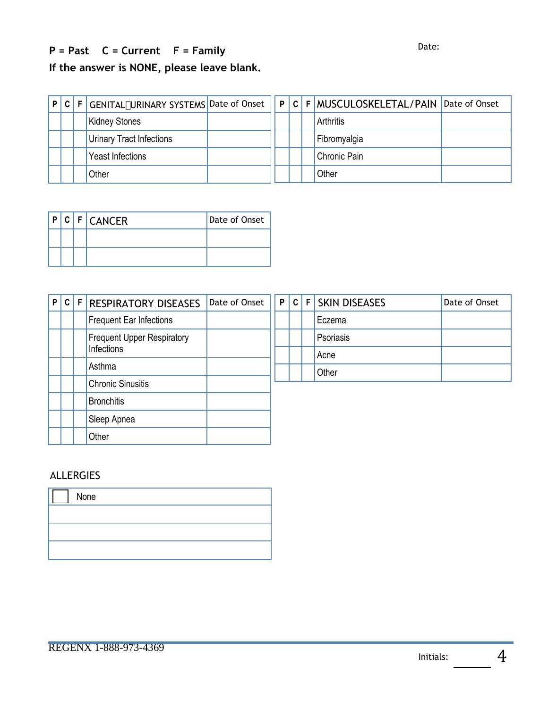## **P = Past C = Current F = Family** Date:

**If the answer is NONE, please leave blank.**

|  | P C F GENITAL#URINARY SYSTEMS Date of Onset |  | P C F MUSCULOSKELETAL/PAIN Date of Onset |  |
|--|---------------------------------------------|--|------------------------------------------|--|
|  | <b>Kidney Stones</b>                        |  | Arthritis                                |  |
|  | <b>Urinary Tract Infections</b>             |  | Fibromyalgia                             |  |
|  | Yeast Infections                            |  | Chronic Pain                             |  |
|  | Other                                       |  | Other                                    |  |

| $\mathsf{P}$ |  | <b>CFCANCER</b> | Date of Onset |
|--------------|--|-----------------|---------------|
|              |  |                 |               |
|              |  |                 |               |

| P C F |  | <b>RESPIRATORY DISEASES</b>       | Date of Onset | P | $\pm$ C $\pm$ | F SKIN DISEASES | Date of Onset |
|-------|--|-----------------------------------|---------------|---|---------------|-----------------|---------------|
|       |  | <b>Frequent Ear Infections</b>    |               |   |               | Eczema          |               |
|       |  | <b>Frequent Upper Respiratory</b> |               |   |               | Psoriasis       |               |
|       |  | Infections                        |               |   |               | Acne            |               |
|       |  | Asthma                            |               |   |               | Other           |               |
|       |  | <b>Chronic Sinusitis</b>          |               |   |               |                 |               |
|       |  | <b>Bronchitis</b>                 |               |   |               |                 |               |
|       |  | Sleep Apnea                       |               |   |               |                 |               |
|       |  | Other                             |               |   |               |                 |               |

#### ALLERGIES

| None |
|------|
|      |
|      |
|      |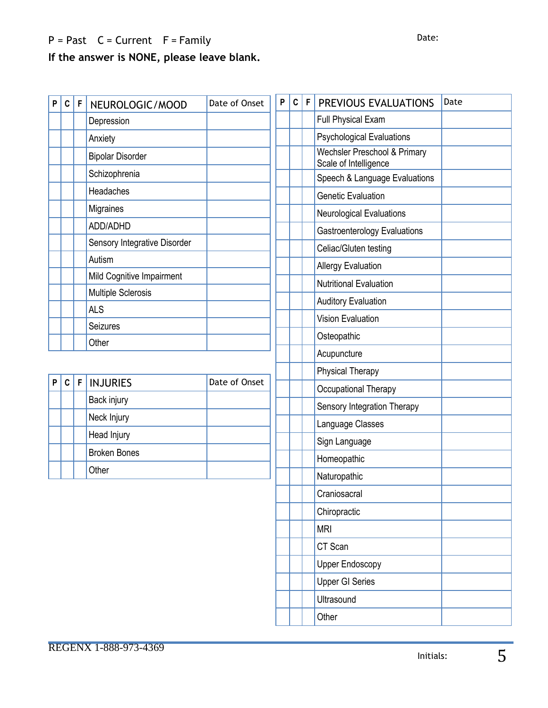## $P = Past$   $C = Current$   $F = Family$

## **If the answer is NONE, please leave blank.**

| P | $\mathbf C$ | F           | NEUROLOGIC/MOOD              | Date of Onset | P | C | F | PREVIOUS EVALUATIONS                                  | Date |
|---|-------------|-------------|------------------------------|---------------|---|---|---|-------------------------------------------------------|------|
|   |             |             | Depression                   |               |   |   |   | Full Physical Exam                                    |      |
|   |             |             | Anxiety                      |               |   |   |   | <b>Psychological Evaluations</b>                      |      |
|   |             |             | <b>Bipolar Disorder</b>      |               |   |   |   | Wechsler Preschool & Primary<br>Scale of Intelligence |      |
|   |             |             | Schizophrenia                |               |   |   |   | Speech & Language Evaluations                         |      |
|   |             |             | Headaches                    |               |   |   |   | <b>Genetic Evaluation</b>                             |      |
|   |             |             | Migraines                    |               |   |   |   | Neurological Evaluations                              |      |
|   |             |             | ADD/ADHD                     |               |   |   |   | <b>Gastroenterology Evaluations</b>                   |      |
|   |             |             | Sensory Integrative Disorder |               |   |   |   | Celiac/Gluten testing                                 |      |
|   |             |             | Autism                       |               |   |   |   | <b>Allergy Evaluation</b>                             |      |
|   |             |             | Mild Cognitive Impairment    |               |   |   |   | <b>Nutritional Evaluation</b>                         |      |
|   |             |             | Multiple Sclerosis           |               |   |   |   | <b>Auditory Evaluation</b>                            |      |
|   |             |             | <b>ALS</b>                   |               |   |   |   | <b>Vision Evaluation</b>                              |      |
|   |             |             | <b>Seizures</b>              |               |   |   |   | Osteopathic                                           |      |
|   |             |             | Other                        |               |   |   |   | Acupuncture                                           |      |
|   |             |             |                              |               |   |   |   | <b>Physical Therapy</b>                               |      |
| P | $\mathbf C$ | $\mathsf F$ | <b>INJURIES</b>              | Date of Onset |   |   |   | Occupational Therapy                                  |      |
|   |             |             | Back injury                  |               |   |   |   | Sensory Integration Therapy                           |      |
|   |             |             | Neck Injury                  |               |   |   |   | Language Classes                                      |      |
|   |             |             | Head Injury                  |               |   |   |   | Sign Language                                         |      |
|   |             |             | <b>Broken Bones</b>          |               |   |   |   | Homeopathic                                           |      |
|   |             |             | Other                        |               |   |   |   | Naturopathic                                          |      |
|   |             |             |                              |               |   |   |   | Craniosacral                                          |      |
|   |             |             |                              |               |   |   |   | Chiropractic                                          |      |
|   |             |             |                              |               |   |   |   | <b>MRI</b>                                            |      |
|   |             |             |                              |               |   |   |   | CT Scan                                               |      |
|   |             |             |                              |               |   |   |   | <b>Upper Endoscopy</b>                                |      |
|   |             |             |                              |               |   |   |   |                                                       |      |
|   |             |             |                              |               |   |   |   | <b>Upper GI Series</b>                                |      |
|   |             |             |                              |               |   |   |   | Ultrasound                                            |      |
|   |             |             |                              |               |   |   |   | Other                                                 |      |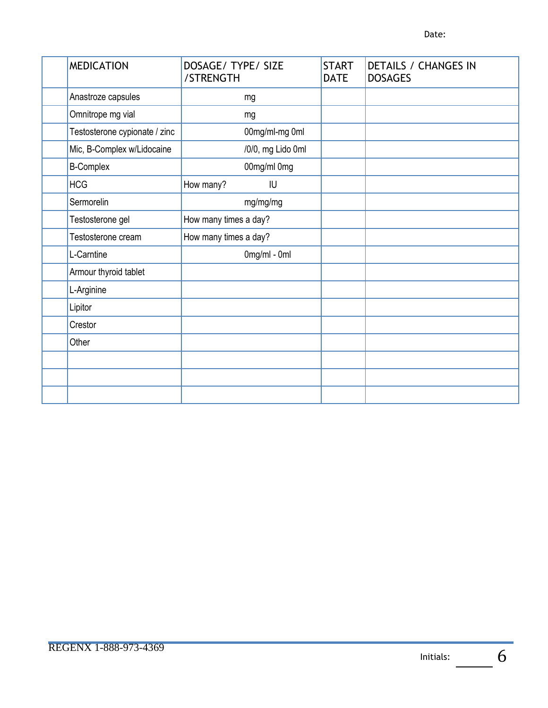| <b>MEDICATION</b>             | DOSAGE/ TYPE/ SIZE<br>/STRENGTH | <b>START</b><br><b>DATE</b> | <b>DETAILS / CHANGES IN</b><br><b>DOSAGES</b> |
|-------------------------------|---------------------------------|-----------------------------|-----------------------------------------------|
| Anastroze capsules            | mg                              |                             |                                               |
| Omnitrope mg vial             | mg                              |                             |                                               |
| Testosterone cypionate / zinc | 00mg/ml-mg 0ml                  |                             |                                               |
| Mic, B-Complex w/Lidocaine    | /0/0, mg Lido 0ml               |                             |                                               |
| <b>B-Complex</b>              | 00mg/ml 0mg                     |                             |                                               |
| <b>HCG</b>                    | How many?<br>IU                 |                             |                                               |
| Sermorelin                    | mg/mg/mg                        |                             |                                               |
| Testosterone gel              | How many times a day?           |                             |                                               |
| Testosterone cream            | How many times a day?           |                             |                                               |
| L-Carntine                    | $0$ mg/ml - 0ml                 |                             |                                               |
| Armour thyroid tablet         |                                 |                             |                                               |
| L-Arginine                    |                                 |                             |                                               |
| Lipitor                       |                                 |                             |                                               |
| Crestor                       |                                 |                             |                                               |
| Other                         |                                 |                             |                                               |
|                               |                                 |                             |                                               |
|                               |                                 |                             |                                               |
|                               |                                 |                             |                                               |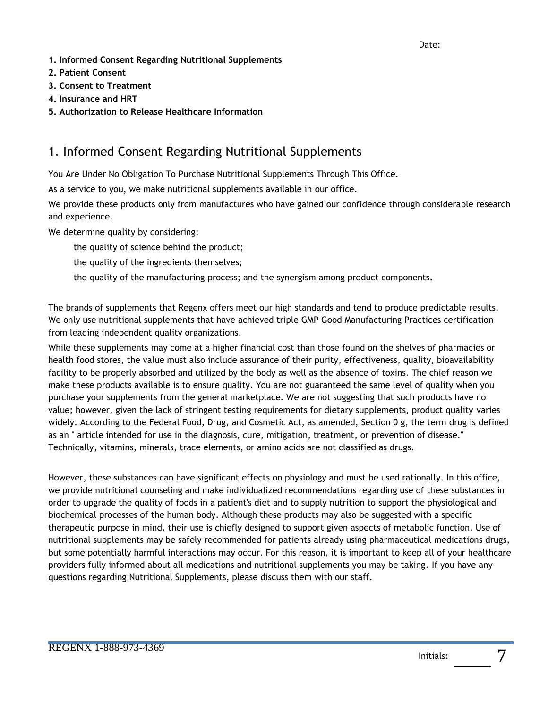- **1. Informed Consent Regarding Nutritional Supplements**
- **2. Patient Consent**
- **3. Consent to Treatment**
- **4. Insurance and HRT**
- **5. Authorization to Release Healthcare Information**

## 1. Informed Consent Regarding Nutritional Supplements

You Are Under No Obligation To Purchase Nutritional Supplements Through This Office.

As a service to you, we make nutritional supplements available in our office.

We provide these products only from manufactures who have gained our confidence through considerable research and experience.

We determine quality by considering:

the quality of science behind the product;

the quality of the ingredients themselves;

the quality of the manufacturing process; and the synergism among product components.

The brands of supplements that Regenx offers meet our high standards and tend to produce predictable results. We only use nutritional supplements that have achieved triple GMP Good Manufacturing Practices certification from leading independent quality organizations.

While these supplements may come at a higher financial cost than those found on the shelves of pharmacies or health food stores, the value must also include assurance of their purity, effectiveness, quality, bioavailability facility to be properly absorbed and utilized by the body as well as the absence of toxins. The chief reason we make these products available is to ensure quality. You are not guaranteed the same level of quality when you purchase your supplements from the general marketplace. We are not suggesting that such products have no value; however, given the lack of stringent testing requirements for dietary supplements, product quality varies widely. According to the Federal Food, Drug, and Cosmetic Act, as amended, Section 0 g, the term drug is defined as an " article intended for use in the diagnosis, cure, mitigation, treatment, or prevention of disease." Technically, vitamins, minerals, trace elements, or amino acids are not classified as drugs.

However, these substances can have significant effects on physiology and must be used rationally. In this office, we provide nutritional counseling and make individualized recommendations regarding use of these substances in order to upgrade the quality of foods in a patient's diet and to supply nutrition to support the physiological and biochemical processes of the human body. Although these products may also be suggested with a specific therapeutic purpose in mind, their use is chiefly designed to support given aspects of metabolic function. Use of nutritional supplements may be safely recommended for patients already using pharmaceutical medications drugs, but some potentially harmful interactions may occur. For this reason, it is important to keep all of your healthcare providers fully informed about all medications and nutritional supplements you may be taking. If you have any questions regarding Nutritional Supplements, please discuss them with our staff.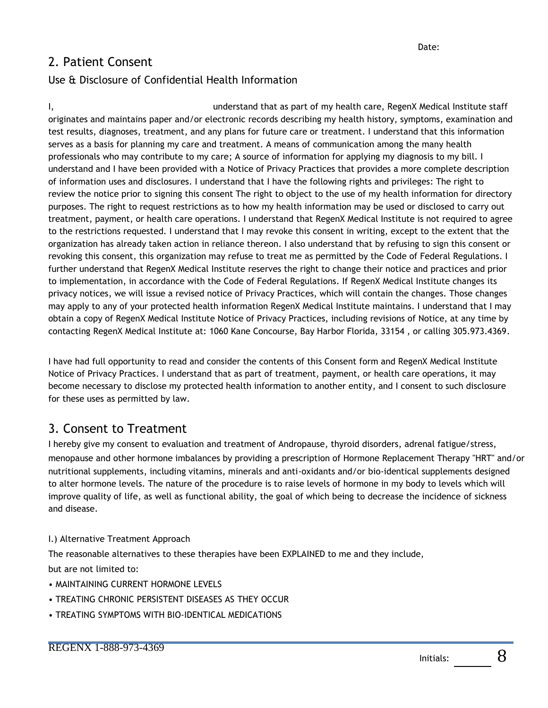## 2. Patient Consent

#### Use & Disclosure of Confidential Health Information

I, understand that as part of my health care, RegenX Medical Institute staff originates and maintains paper and/or electronic records describing my health history, symptoms, examination and test results, diagnoses, treatment, and any plans for future care or treatment. I understand that this information serves as a basis for planning my care and treatment. A means of communication among the many health professionals who may contribute to my care; A source of information for applying my diagnosis to my bill. I understand and I have been provided with a Notice of Privacy Practices that provides a more complete description of information uses and disclosures. I understand that I have the following rights and privileges: The right to review the notice prior to signing this consent The right to object to the use of my health information for directory purposes. The right to request restrictions as to how my health information may be used or disclosed to carry out treatment, payment, or health care operations. I understand that RegenX Medical Institute is not required to agree to the restrictions requested. I understand that I may revoke this consent in writing, except to the extent that the organization has already taken action in reliance thereon. I also understand that by refusing to sign this consent or revoking this consent, this organization may refuse to treat me as permitted by the Code of Federal Regulations. I further understand that RegenX Medical Institute reserves the right to change their notice and practices and prior to implementation, in accordance with the Code of Federal Regulations. If RegenX Medical Institute changes its privacy notices, we will issue a revised notice of Privacy Practices, which will contain the changes. Those changes may apply to any of your protected health information RegenX Medical Institute maintains. I understand that I may obtain a copy of RegenX Medical Institute Notice of Privacy Practices, including revisions of Notice, at any time by contacting RegenX Medical Institute at: 1060 Kane Concourse, Bay Harbor Florida, 33154 , or calling 305.973.4369.

I have had full opportunity to read and consider the contents of this Consent form and RegenX Medical Institute Notice of Privacy Practices. I understand that as part of treatment, payment, or health care operations, it may become necessary to disclose my protected health information to another entity, and I consent to such disclosure for these uses as permitted by law.

### 3. Consent to Treatment

I hereby give my consent to evaluation and treatment of Andropause, thyroid disorders, adrenal fatigue/stress, menopause and other hormone imbalances by providing a prescription of Hormone Replacement Therapy "HRT" and/or nutritional supplements, including vitamins, minerals and anti-oxidants and/or bio-identical supplements designed to alter hormone levels. The nature of the procedure is to raise levels of hormone in my body to levels which will improve quality of life, as well as functional ability, the goal of which being to decrease the incidence of sickness and disease.

#### I.) Alternative Treatment Approach

The reasonable alternatives to these therapies have been EXPLAINED to me and they include,

but are not limited to:

- MAINTAINING CURRENT HORMONE LEVELS
- TREATING CHRONIC PERSISTENT DISEASES AS THEY OCCUR
- TREATING SYMPTOMS WITH BIO-IDENTICAL MEDICATIONS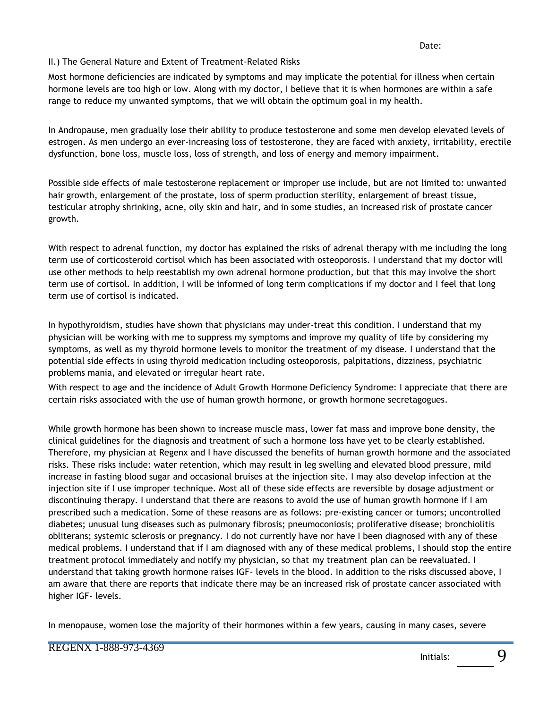#### II.) The General Nature and Extent of Treatment-Related Risks

Most hormone deficiencies are indicated by symptoms and may implicate the potential for illness when certain hormone levels are too high or low. Along with my doctor, I believe that it is when hormones are within a safe range to reduce my unwanted symptoms, that we will obtain the optimum goal in my health.

In Andropause, men gradually lose their ability to produce testosterone and some men develop elevated levels of estrogen. As men undergo an ever-increasing loss of testosterone, they are faced with anxiety, irritability, erectile dysfunction, bone loss, muscle loss, loss of strength, and loss of energy and memory impairment.

Possible side effects of male testosterone replacement or improper use include, but are not limited to: unwanted hair growth, enlargement of the prostate, loss of sperm production sterility, enlargement of breast tissue, testicular atrophy shrinking, acne, oily skin and hair, and in some studies, an increased risk of prostate cancer growth.

With respect to adrenal function, my doctor has explained the risks of adrenal therapy with me including the long term use of corticosteroid cortisol which has been associated with osteoporosis. I understand that my doctor will use other methods to help reestablish my own adrenal hormone production, but that this may involve the short term use of cortisol. In addition, I will be informed of long term complications if my doctor and I feel that long term use of cortisol is indicated.

In hypothyroidism, studies have shown that physicians may under-treat this condition. I understand that my physician will be working with me to suppress my symptoms and improve my quality of life by considering my symptoms, as well as my thyroid hormone levels to monitor the treatment of my disease. I understand that the potential side effects in using thyroid medication including osteoporosis, palpitations, dizziness, psychiatric problems mania, and elevated or irregular heart rate.

With respect to age and the incidence of Adult Growth Hormone Deficiency Syndrome: I appreciate that there are certain risks associated with the use of human growth hormone, or growth hormone secretagogues.

While growth hormone has been shown to increase muscle mass, lower fat mass and improve bone density, the clinical guidelines for the diagnosis and treatment of such a hormone loss have yet to be clearly established. Therefore, my physician at Regenx and I have discussed the benefits of human growth hormone and the associated risks. These risks include: water retention, which may result in leg swelling and elevated blood pressure, mild increase in fasting blood sugar and occasional bruises at the injection site. I may also develop infection at the injection site if I use improper technique. Most all of these side effects are reversible by dosage adjustment or discontinuing therapy. I understand that there are reasons to avoid the use of human growth hormone if I am prescribed such a medication. Some of these reasons are as follows: pre-existing cancer or tumors; uncontrolled diabetes; unusual lung diseases such as pulmonary fibrosis; pneumoconiosis; proliferative disease; bronchiolitis obliterans; systemic sclerosis or pregnancy. I do not currently have nor have I been diagnosed with any of these medical problems. I understand that if I am diagnosed with any of these medical problems, I should stop the entire treatment protocol immediately and notify my physician, so that my treatment plan can be reevaluated. I understand that taking growth hormone raises IGF- levels in the blood. In addition to the risks discussed above, I am aware that there are reports that indicate there may be an increased risk of prostate cancer associated with higher IGF- levels.

In menopause, women lose the majority of their hormones within a few years, causing in many cases, severe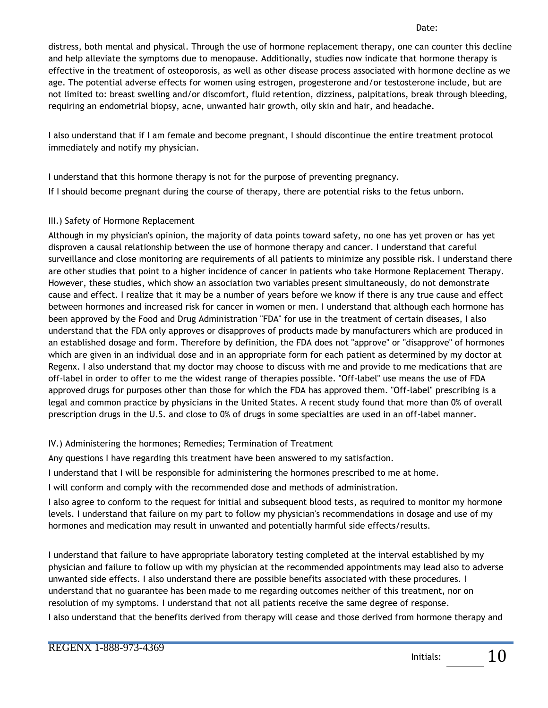Date:

distress, both mental and physical. Through the use of hormone replacement therapy, one can counter this decline and help alleviate the symptoms due to menopause. Additionally, studies now indicate that hormone therapy is effective in the treatment of osteoporosis, as well as other disease process associated with hormone decline as we age. The potential adverse effects for women using estrogen, progesterone and/or testosterone include, but are not limited to: breast swelling and/or discomfort, fluid retention, dizziness, palpitations, break through bleeding, requiring an endometrial biopsy, acne, unwanted hair growth, oily skin and hair, and headache.

I also understand that if I am female and become pregnant, I should discontinue the entire treatment protocol immediately and notify my physician.

I understand that this hormone therapy is not for the purpose of preventing pregnancy. If I should become pregnant during the course of therapy, there are potential risks to the fetus unborn.

#### III.) Safety of Hormone Replacement

Although in my physician's opinion, the majority of data points toward safety, no one has yet proven or has yet disproven a causal relationship between the use of hormone therapy and cancer. I understand that careful surveillance and close monitoring are requirements of all patients to minimize any possible risk. I understand there are other studies that point to a higher incidence of cancer in patients who take Hormone Replacement Therapy. However, these studies, which show an association two variables present simultaneously, do not demonstrate cause and effect. I realize that it may be a number of years before we know if there is any true cause and effect between hormones and increased risk for cancer in women or men. I understand that although each hormone has been approved by the Food and Drug Administration "FDA" for use in the treatment of certain diseases, I also understand that the FDA only approves or disapproves of products made by manufacturers which are produced in an established dosage and form. Therefore by definition, the FDA does not "approve" or "disapprove" of hormones which are given in an individual dose and in an appropriate form for each patient as determined by my doctor at Regenx. I also understand that my doctor may choose to discuss with me and provide to me medications that are off-label in order to offer to me the widest range of therapies possible. "Off-label" use means the use of FDA approved drugs for purposes other than those for which the FDA has approved them. "Off-label" prescribing is a legal and common practice by physicians in the United States. A recent study found that more than 0% of overall prescription drugs in the U.S. and close to 0% of drugs in some specialties are used in an off-label manner.

#### IV.) Administering the hormones; Remedies; Termination of Treatment

Any questions I have regarding this treatment have been answered to my satisfaction.

I understand that I will be responsible for administering the hormones prescribed to me at home.

I will conform and comply with the recommended dose and methods of administration.

I also agree to conform to the request for initial and subsequent blood tests, as required to monitor my hormone levels. I understand that failure on my part to follow my physician's recommendations in dosage and use of my hormones and medication may result in unwanted and potentially harmful side effects/results.

I understand that failure to have appropriate laboratory testing completed at the interval established by my physician and failure to follow up with my physician at the recommended appointments may lead also to adverse unwanted side effects. I also understand there are possible benefits associated with these procedures. I understand that no guarantee has been made to me regarding outcomes neither of this treatment, nor on resolution of my symptoms. I understand that not all patients receive the same degree of response.

I also understand that the benefits derived from therapy will cease and those derived from hormone therapy and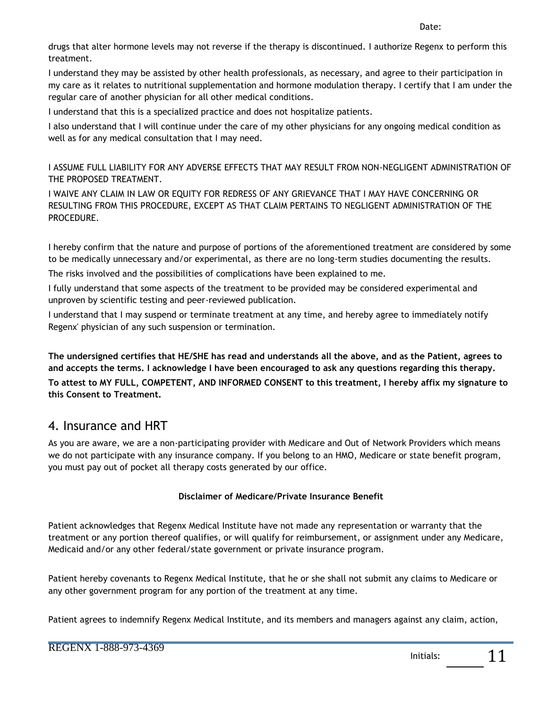Date:

drugs that alter hormone levels may not reverse if the therapy is discontinued. I authorize Regenx to perform this treatment.

I understand they may be assisted by other health professionals, as necessary, and agree to their participation in my care as it relates to nutritional supplementation and hormone modulation therapy. I certify that I am under the regular care of another physician for all other medical conditions.

I understand that this is a specialized practice and does not hospitalize patients.

I also understand that I will continue under the care of my other physicians for any ongoing medical condition as well as for any medical consultation that I may need.

I ASSUME FULL LIABILITY FOR ANY ADVERSE EFFECTS THAT MAY RESULT FROM NON-NEGLIGENT ADMINISTRATION OF THE PROPOSED TREATMENT.

I WAIVE ANY CLAIM IN LAW OR EQUITY FOR REDRESS OF ANY GRIEVANCE THAT I MAY HAVE CONCERNING OR RESULTING FROM THIS PROCEDURE, EXCEPT AS THAT CLAIM PERTAINS TO NEGLIGENT ADMINISTRATION OF THE PROCEDURE.

I hereby confirm that the nature and purpose of portions of the aforementioned treatment are considered by some to be medically unnecessary and/or experimental, as there are no long-term studies documenting the results.

The risks involved and the possibilities of complications have been explained to me.

I fully understand that some aspects of the treatment to be provided may be considered experimental and unproven by scientific testing and peer-reviewed publication.

I understand that I may suspend or terminate treatment at any time, and hereby agree to immediately notify Regenx' physician of any such suspension or termination.

**The undersigned certifies that HE/SHE has read and understands all the above, and as the Patient, agrees to and accepts the terms. I acknowledge I have been encouraged to ask any questions regarding this therapy. To attest to MY FULL, COMPETENT, AND INFORMED CONSENT to this treatment, I hereby affix my signature to this Consent to Treatment.** 

## 4. Insurance and HRT

As you are aware, we are a non-participating provider with Medicare and Out of Network Providers which means we do not participate with any insurance company. If you belong to an HMO, Medicare or state benefit program, you must pay out of pocket all therapy costs generated by our office.

#### **Disclaimer of Medicare/Private Insurance Benefit**

Patient acknowledges that Regenx Medical Institute have not made any representation or warranty that the treatment or any portion thereof qualifies, or will qualify for reimbursement, or assignment under any Medicare, Medicaid and/or any other federal/state government or private insurance program.

Patient hereby covenants to Regenx Medical Institute, that he or she shall not submit any claims to Medicare or any other government program for any portion of the treatment at any time.

Patient agrees to indemnify Regenx Medical Institute, and its members and managers against any claim, action,